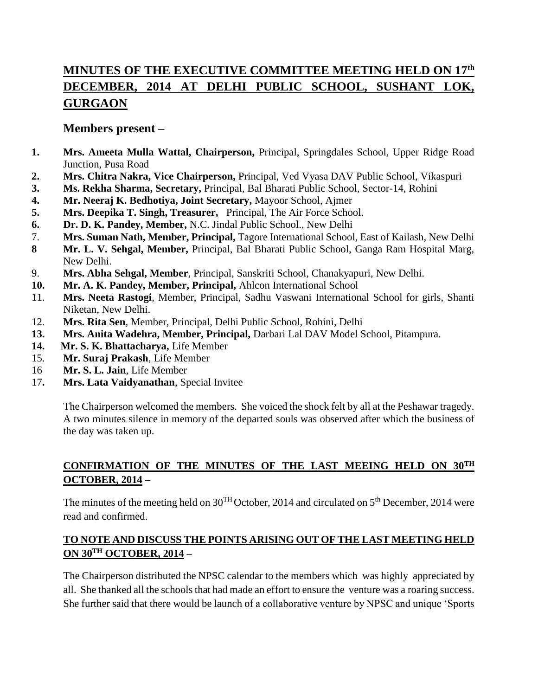# **MINUTES OF THE EXECUTIVE COMMITTEE MEETING HELD ON 17th DECEMBER, 2014 AT DELHI PUBLIC SCHOOL, SUSHANT LOK, GURGAON**

## **Members present –**

- **1. Mrs. Ameeta Mulla Wattal, Chairperson,** Principal, Springdales School, Upper Ridge Road Junction, Pusa Road
- **2. Mrs. Chitra Nakra, Vice Chairperson,** Principal, Ved Vyasa DAV Public School, Vikaspuri
- **3. Ms. Rekha Sharma, Secretary,** Principal, Bal Bharati Public School, Sector-14, Rohini
- **4. Mr. Neeraj K. Bedhotiya, Joint Secretary,** Mayoor School, Ajmer
- **5. Mrs. Deepika T. Singh, Treasurer,** Principal, The Air Force School.
- **6. Dr. D. K. Pandey, Member,** N.C. Jindal Public School., New Delhi
- 7. **Mrs. Suman Nath, Member, Principal,** Tagore International School, East of Kailash, New Delhi
- **8 Mr. L. V. Sehgal, Member,** Principal, Bal Bharati Public School, Ganga Ram Hospital Marg, New Delhi.
- 9. **Mrs. Abha Sehgal, Member**, Principal, Sanskriti School, Chanakyapuri, New Delhi.
- **10. Mr. A. K. Pandey, Member, Principal,** Ahlcon International School
- 11. **Mrs. Neeta Rastogi**, Member, Principal, Sadhu Vaswani International School for girls, Shanti Niketan, New Delhi.
- 12. **Mrs. Rita Sen**, Member, Principal, Delhi Public School, Rohini, Delhi
- **13. Mrs. Anita Wadehra, Member, Principal,** Darbari Lal DAV Model School, Pitampura.
- **14. Mr. S. K. Bhattacharya,** Life Member
- 15. **Mr. Suraj Prakash**, Life Member
- 16 **Mr. S. L. Jain**, Life Member
- 17**. Mrs. Lata Vaidyanathan**, Special Invitee

The Chairperson welcomed the members. She voiced the shock felt by all at the Peshawar tragedy. A two minutes silence in memory of the departed souls was observed after which the business of the day was taken up.

# **CONFIRMATION OF THE MINUTES OF THE LAST MEEING HELD ON 30TH OCTOBER, 2014 –**

The minutes of the meeting held on  $30^{TH}$ October, 2014 and circulated on  $5^{th}$  December, 2014 were read and confirmed.

### **TO NOTE AND DISCUSS THE POINTS ARISING OUT OF THE LAST MEETING HELD ON 30TH OCTOBER, 2014 –**

The Chairperson distributed the NPSC calendar to the members which was highly appreciated by all. She thanked all the schools that had made an effort to ensure the venture was a roaring success. She further said that there would be launch of a collaborative venture by NPSC and unique 'Sports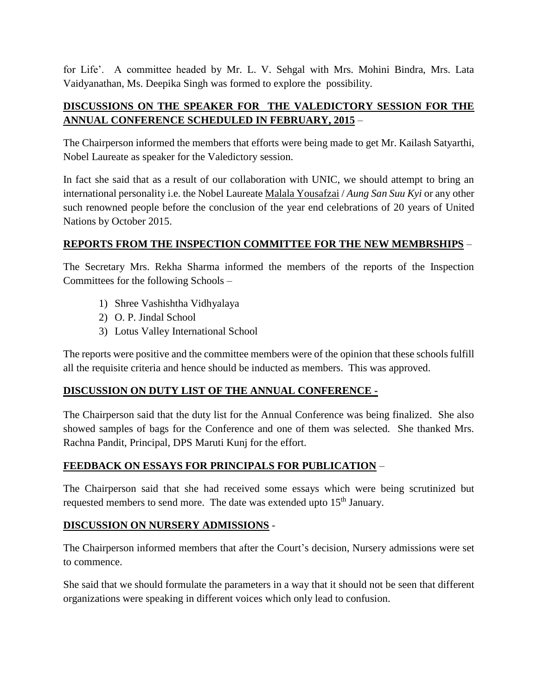for Life'. A committee headed by Mr. L. V. Sehgal with Mrs. Mohini Bindra, Mrs. Lata Vaidyanathan, Ms. Deepika Singh was formed to explore the possibility.

#### **DISCUSSIONS ON THE SPEAKER FOR THE VALEDICTORY SESSION FOR THE ANNUAL CONFERENCE SCHEDULED IN FEBRUARY, 2015** –

The Chairperson informed the members that efforts were being made to get Mr. Kailash Satyarthi, Nobel Laureate as speaker for the Valedictory session.

In fact she said that as a result of our collaboration with UNIC, we should attempt to bring an international personality i.e. the Nobel Laureate [Malala Yousafzai](http://en.wikipedia.org/wiki/Malala_Yousafzai) / *Aung San Suu Kyi* or any other such renowned people before the conclusion of the year end celebrations of 20 years of United Nations by October 2015.

#### **REPORTS FROM THE INSPECTION COMMITTEE FOR THE NEW MEMBRSHIPS** –

The Secretary Mrs. Rekha Sharma informed the members of the reports of the Inspection Committees for the following Schools –

- 1) Shree Vashishtha Vidhyalaya
- 2) O. P. Jindal School
- 3) Lotus Valley International School

The reports were positive and the committee members were of the opinion that these schools fulfill all the requisite criteria and hence should be inducted as members. This was approved.

### **DISCUSSION ON DUTY LIST OF THE ANNUAL CONFERENCE -**

The Chairperson said that the duty list for the Annual Conference was being finalized. She also showed samples of bags for the Conference and one of them was selected. She thanked Mrs. Rachna Pandit, Principal, DPS Maruti Kunj for the effort.

### **FEEDBACK ON ESSAYS FOR PRINCIPALS FOR PUBLICATION** –

The Chairperson said that she had received some essays which were being scrutinized but requested members to send more. The date was extended upto 15<sup>th</sup> January.

#### **DISCUSSION ON NURSERY ADMISSIONS** -

The Chairperson informed members that after the Court's decision, Nursery admissions were set to commence.

She said that we should formulate the parameters in a way that it should not be seen that different organizations were speaking in different voices which only lead to confusion.